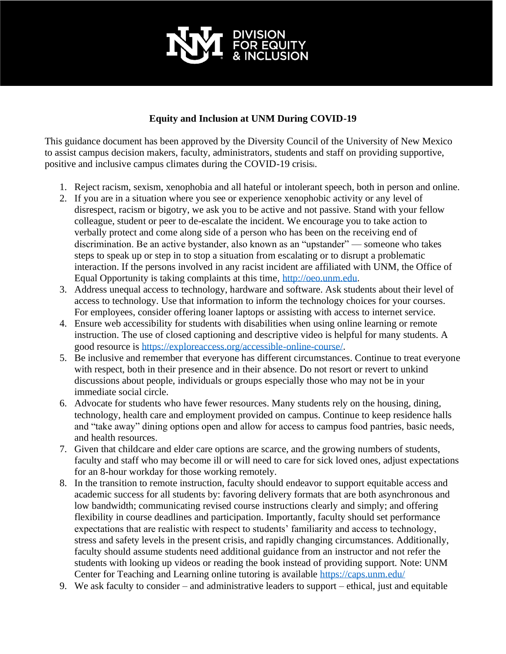

## **Equity and Inclusion at UNM During COVID-19**

This guidance document has been approved by the Diversity Council of the University of New Mexico to assist campus decision makers, faculty, administrators, students and staff on providing supportive, positive and inclusive campus climates during the COVID-19 crisisi.

- 1. Reject racism, sexism, xenophobia and all hateful or intolerant speech, both in person and online.
- 2. If you are in a situation where you see or experience xenophobic activity or any level of disrespect, racism or bigotry, we ask you to be active and not passive. Stand with your fellow colleague, student or peer to de-escalate the incident. We encourage you to take action to verbally protect and come along side of a person who has been on the receiving end of discrimination. Be an active bystander, also known as an "upstander" — someone who takes steps to speak up or step in to stop a situation from escalating or to disrupt a problematic interaction. If the persons involved in any racist incident are affiliated with UNM, the Office of Equal Opportunity is taking complaints at this time, [http://oeo.unm.edu.](http://oeo.unm.edu/)
- 3. Address unequal access to technology, hardware and software. Ask students about their level of access to technology. Use that information to inform the technology choices for your courses. For employees, consider offering loaner laptops or assisting with access to internet service.
- 4. Ensure web accessibility for students with disabilities when using online learning or remote instruction. The use of closed captioning and descriptive video is helpful for many students. A good resource is [https://exploreaccess.org/accessible-online-course/.](https://exploreaccess.org/accessible-online-course/)
- 5. Be inclusive and remember that everyone has different circumstances. Continue to treat everyone with respect, both in their presence and in their absence. Do not resort or revert to unkind discussions about people, individuals or groups especially those who may not be in your immediate social circle.
- 6. Advocate for students who have fewer resources. Many students rely on the housing, dining, technology, health care and employment provided on campus. Continue to keep residence halls and "take away" dining options open and allow for access to campus food pantries, basic needs, and health resources.
- 7. Given that childcare and elder care options are scarce, and the growing numbers of students, faculty and staff who may become ill or will need to care for sick loved ones, adjust expectations for an 8-hour workday for those working remotely.
- 8. In the transition to remote instruction, faculty should endeavor to support equitable access and academic success for all students by: favoring delivery formats that are both asynchronous and low bandwidth; communicating revised course instructions clearly and simply; and offering flexibility in course deadlines and participation. Importantly, faculty should set performance expectations that are realistic with respect to students' familiarity and access to technology, stress and safety levels in the present crisis, and rapidly changing circumstances. Additionally, faculty should assume students need additional guidance from an instructor and not refer the students with looking up videos or reading the book instead of providing support. Note: UNM Center for Teaching and Learning online tutoring is available<https://caps.unm.edu/>
- 9. We ask faculty to consider and administrative leaders to support ethical, just and equitable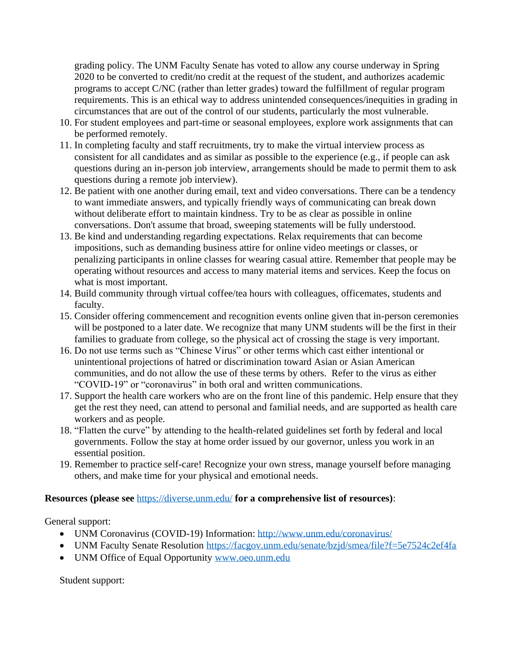grading policy. The UNM Faculty Senate has voted to allow any course underway in Spring 2020 to be converted to credit/no credit at the request of the student, and authorizes academic programs to accept C/NC (rather than letter grades) toward the fulfillment of regular program requirements. This is an ethical way to address unintended consequences/inequities in grading in circumstances that are out of the control of our students, particularly the most vulnerable.

- 10. For student employees and part-time or seasonal employees, explore work assignments that can be performed remotely.
- 11. In completing faculty and staff recruitments, try to make the virtual interview process as consistent for all candidates and as similar as possible to the experience (e.g., if people can ask questions during an in-person job interview, arrangements should be made to permit them to ask questions during a remote job interview).
- 12. Be patient with one another during email, text and video conversations. There can be a tendency to want immediate answers, and typically friendly ways of communicating can break down without deliberate effort to maintain kindness. Try to be as clear as possible in online conversations. Don't assume that broad, sweeping statements will be fully understood.
- 13. Be kind and understanding regarding expectations. Relax requirements that can become impositions, such as demanding business attire for online video meetings or classes, or penalizing participants in online classes for wearing casual attire. Remember that people may be operating without resources and access to many material items and services. Keep the focus on what is most important.
- 14. Build community through virtual coffee/tea hours with colleagues, officemates, students and faculty.
- 15. Consider offering commencement and recognition events online given that in-person ceremonies will be postponed to a later date. We recognize that many UNM students will be the first in their families to graduate from college, so the physical act of crossing the stage is very important.
- 16. Do not use terms such as "Chinese Virus" or other terms which cast either intentional or unintentional projections of hatred or discrimination toward Asian or Asian American communities, and do not allow the use of these terms by others. Refer to the virus as either "COVID-19" or "coronavirus" in both oral and written communications.
- 17. Support the health care workers who are on the front line of this pandemic. Help ensure that they get the rest they need, can attend to personal and familial needs, and are supported as health care workers and as people.
- 18. "Flatten the curve" by attending to the health-related guidelines set forth by federal and local governments. Follow the stay at home order issued by our governor, unless you work in an essential position.
- 19. Remember to practice self-care! Recognize your own stress, manage yourself before managing others, and make time for your physical and emotional needs.

## **Resources (please see** <https://diverse.unm.edu/> **for a comprehensive list of resources)**:

General support:

- UNM Coronavirus (COVID-19) Information:<http://www.unm.edu/coronavirus/>
- UNM Faculty Senate Resolution<https://facgov.unm.edu/senate/bzjd/smea/file?f=5e7524c2ef4fa>
- UNM Office of Equal Opportunity [www.oeo.unm.edu](http://www.oeo.unm.edu/)

Student support: